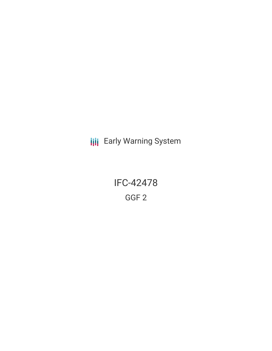**III** Early Warning System

IFC-42478 GGF 2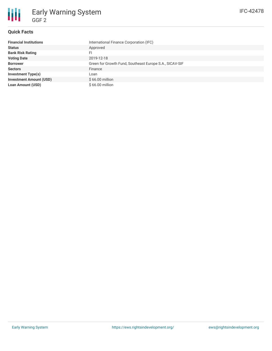# **Quick Facts**

| <b>Financial Institutions</b>  | International Finance Corporation (IFC)                 |
|--------------------------------|---------------------------------------------------------|
| <b>Status</b>                  | Approved                                                |
| <b>Bank Risk Rating</b>        | FI                                                      |
| <b>Voting Date</b>             | 2019-12-18                                              |
| <b>Borrower</b>                | Green for Growth Fund, Southeast Europe S.A., SICAV-SIF |
| <b>Sectors</b>                 | Finance                                                 |
| <b>Investment Type(s)</b>      | Loan                                                    |
| <b>Investment Amount (USD)</b> | $$66.00$ million                                        |
| <b>Loan Amount (USD)</b>       | \$66.00 million                                         |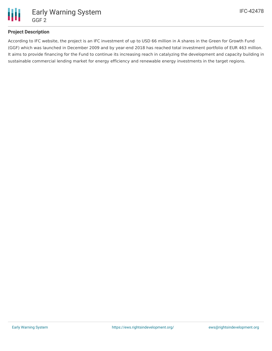

# **Project Description**

According to IFC website, the project is an IFC investment of up to USD 66 million in A shares in the Green for Growth Fund (GGF) which was launched in December 2009 and by year-end 2018 has reached total investment portfolio of EUR 463 million. It aims to provide financing for the Fund to continue its increasing reach in catalyzing the development and capacity building in sustainable commercial lending market for energy efficiency and renewable energy investments in the target regions.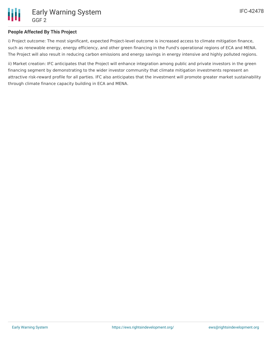

# **People Affected By This Project**

i) Project outcome: The most significant, expected Project-level outcome is increased access to climate mitigation finance, such as renewable energy, energy efficiency, and other green financing in the Fund's operational regions of ECA and MENA. The Project will also result in reducing carbon emissions and energy savings in energy intensive and highly polluted regions.

ii) Market creation: IFC anticipates that the Project will enhance integration among public and private investors in the green financing segment by demonstrating to the wider investor community that climate mitigation investments represent an attractive risk-reward profile for all parties. IFC also anticipates that the investment will promote greater market sustainability through climate finance capacity building in ECA and MENA.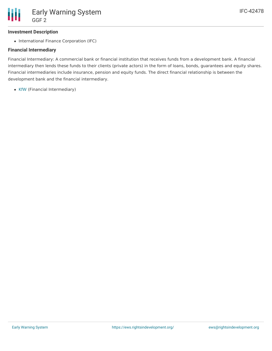

#### **Investment Description**

• International Finance Corporation (IFC)

## **Financial Intermediary**

Financial Intermediary: A commercial bank or financial institution that receives funds from a development bank. A financial intermediary then lends these funds to their clients (private actors) in the form of loans, bonds, guarantees and equity shares. Financial intermediaries include insurance, pension and equity funds. The direct financial relationship is between the development bank and the financial intermediary.

• [KfW](file:///actor/129/) (Financial Intermediary)